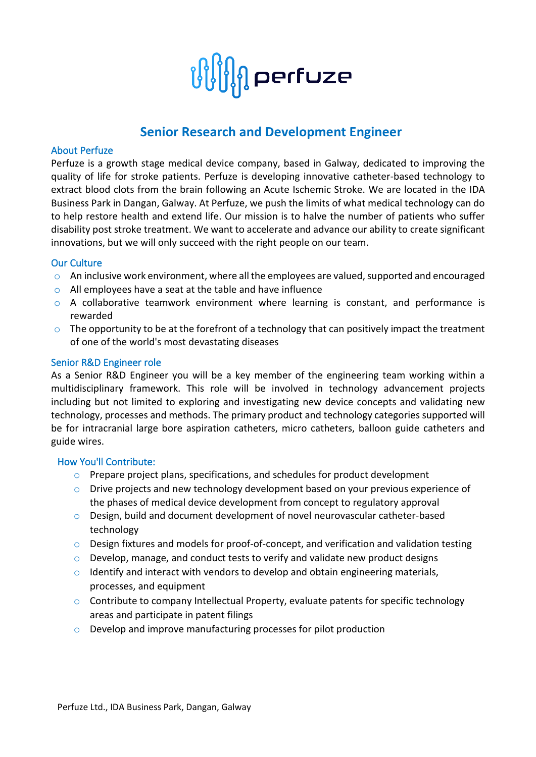

# **Senior Research and Development Engineer**

### About Perfuze

Perfuze is a growth stage medical device company, based in Galway, dedicated to improving the quality of life for stroke patients. Perfuze is developing innovative catheter-based technology to extract blood clots from the brain following an Acute Ischemic Stroke. We are located in the IDA Business Park in Dangan, Galway. At Perfuze, we push the limits of what medical technology can do to help restore health and extend life. Our mission is to halve the number of patients who suffer disability post stroke treatment. We want to accelerate and advance our ability to create significant innovations, but we will only succeed with the right people on our team.

## Our Culture

- o An inclusive work environment, where all the employees are valued, supported and encouraged
- o All employees have a seat at the table and have influence
- $\circ$  A collaborative teamwork environment where learning is constant, and performance is rewarded
- $\circ$  The opportunity to be at the forefront of a technology that can positively impact the treatment of one of the world's most devastating diseases

#### Senior R&D Engineer role

As a Senior R&D Engineer you will be a key member of the engineering team working within a multidisciplinary framework. This role will be involved in technology advancement projects including but not limited to exploring and investigating new device concepts and validating new technology, processes and methods. The primary product and technology categories supported will be for intracranial large bore aspiration catheters, micro catheters, balloon guide catheters and guide wires.

#### How You'll Contribute:

- o Prepare project plans, specifications, and schedules for product development
- $\circ$  Drive projects and new technology development based on your previous experience of the phases of medical device development from concept to regulatory approval
- o Design, build and document development of novel neurovascular catheter-based technology
- $\circ$  Design fixtures and models for proof-of-concept, and verification and validation testing
- o Develop, manage, and conduct tests to verify and validate new product designs
- $\circ$  Identify and interact with vendors to develop and obtain engineering materials, processes, and equipment
- $\circ$  Contribute to company Intellectual Property, evaluate patents for specific technology areas and participate in patent filings
- o Develop and improve manufacturing processes for pilot production